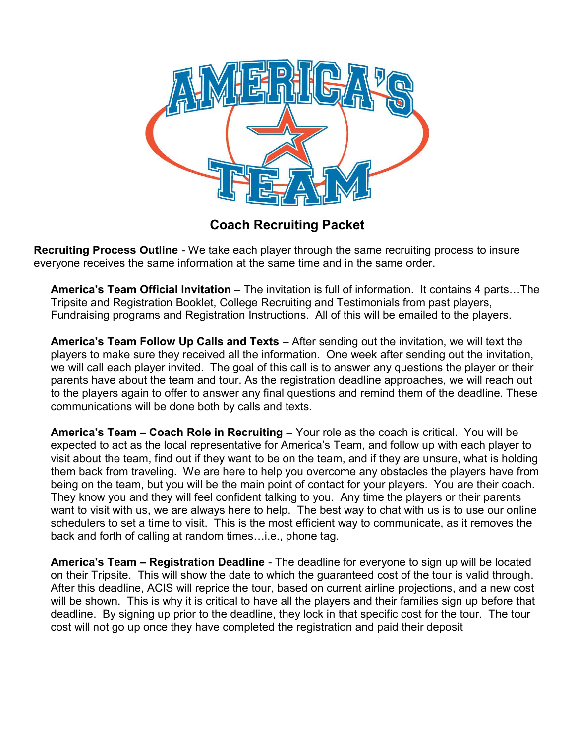

Coach Recruiting Packet

Recruiting Process Outline - We take each player through the same recruiting process to insure everyone receives the same information at the same time and in the same order.

America's Team Official Invitation – The invitation is full of information. It contains 4 parts…The Tripsite and Registration Booklet, College Recruiting and Testimonials from past players, Fundraising programs and Registration Instructions. All of this will be emailed to the players.

America's Team Follow Up Calls and Texts – After sending out the invitation, we will text the players to make sure they received all the information. One week after sending out the invitation, we will call each player invited. The goal of this call is to answer any questions the player or their parents have about the team and tour. As the registration deadline approaches, we will reach out to the players again to offer to answer any final questions and remind them of the deadline. These communications will be done both by calls and texts.

America's Team – Coach Role in Recruiting – Your role as the coach is critical. You will be expected to act as the local representative for America's Team, and follow up with each player to visit about the team, find out if they want to be on the team, and if they are unsure, what is holding them back from traveling. We are here to help you overcome any obstacles the players have from being on the team, but you will be the main point of contact for your players. You are their coach. They know you and they will feel confident talking to you. Any time the players or their parents want to visit with us, we are always here to help. The best way to chat with us is to use our online schedulers to set a time to visit. This is the most efficient way to communicate, as it removes the back and forth of calling at random times…i.e., phone tag.

America's Team – Registration Deadline - The deadline for everyone to sign up will be located on their Tripsite. This will show the date to which the guaranteed cost of the tour is valid through. After this deadline, ACIS will reprice the tour, based on current airline projections, and a new cost will be shown. This is why it is critical to have all the players and their families sign up before that deadline. By signing up prior to the deadline, they lock in that specific cost for the tour. The tour cost will not go up once they have completed the registration and paid their deposit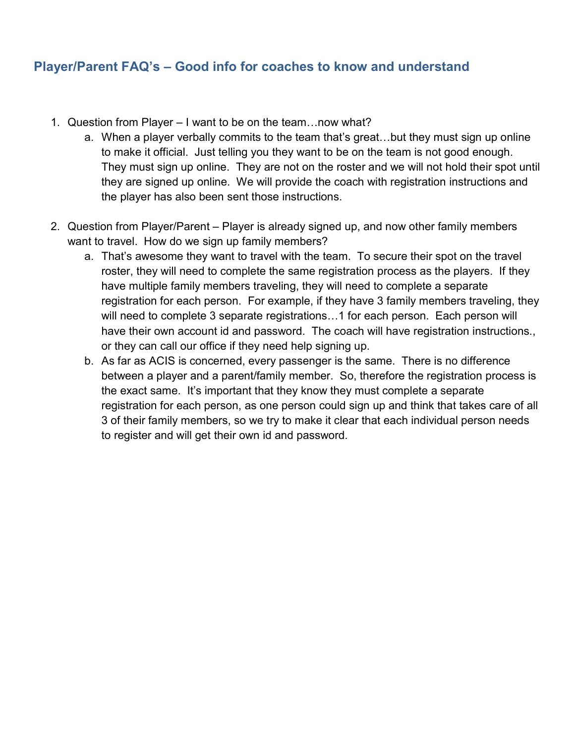## Player/Parent FAQ's – Good info for coaches to know and understand

- 1. Question from Player I want to be on the team…now what?
	- a. When a player verbally commits to the team that's great…but they must sign up online to make it official. Just telling you they want to be on the team is not good enough. They must sign up online. They are not on the roster and we will not hold their spot until they are signed up online. We will provide the coach with registration instructions and the player has also been sent those instructions.
- 2. Question from Player/Parent Player is already signed up, and now other family members want to travel. How do we sign up family members?
	- a. That's awesome they want to travel with the team. To secure their spot on the travel roster, they will need to complete the same registration process as the players. If they have multiple family members traveling, they will need to complete a separate registration for each person. For example, if they have 3 family members traveling, they will need to complete 3 separate registrations…1 for each person. Each person will have their own account id and password. The coach will have registration instructions., or they can call our office if they need help signing up.
	- b. As far as ACIS is concerned, every passenger is the same. There is no difference between a player and a parent/family member. So, therefore the registration process is the exact same. It's important that they know they must complete a separate registration for each person, as one person could sign up and think that takes care of all 3 of their family members, so we try to make it clear that each individual person needs to register and will get their own id and password.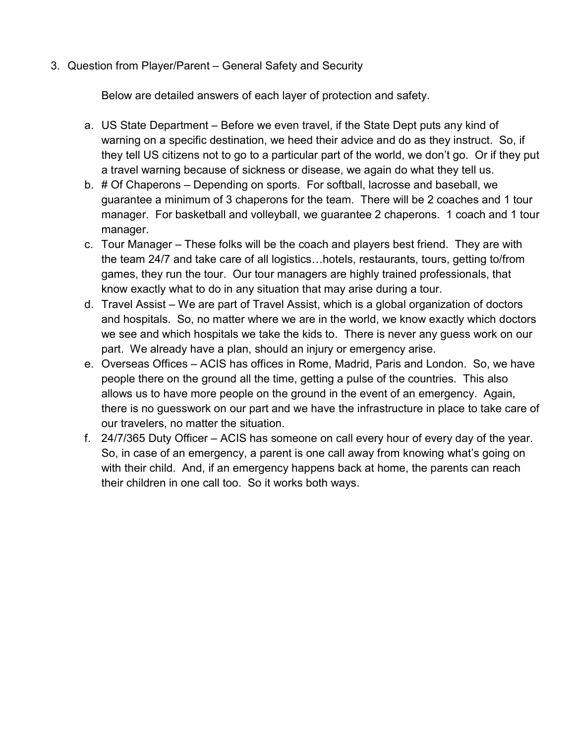3. Question from Player/Parent – General Safety and Security

Below are detailed answers of each layer of protection and safety.

- a. US State Department Before we even travel, if the State Dept puts any kind of warning on a specific destination, we heed their advice and do as they instruct. So, if they tell US citizens not to go to a particular part of the world, we don't go. Or if they put a travel warning because of sickness or disease, we again do what they tell us.
- b. # Of Chaperons Depending on sports. For softball, lacrosse and baseball, we guarantee a minimum of 3 chaperons for the team. There will be 2 coaches and 1 tour manager. For basketball and volleyball, we guarantee 2 chaperons. 1 coach and 1 tour manager.
- c. Tour Manager These folks will be the coach and players best friend. They are with the team 24/7 and take care of all logistics…hotels, restaurants, tours, getting to/from games, they run the tour. Our tour managers are highly trained professionals, that know exactly what to do in any situation that may arise during a tour.
- d. Travel Assist We are part of Travel Assist, which is a global organization of doctors and hospitals. So, no matter where we are in the world, we know exactly which doctors we see and which hospitals we take the kids to. There is never any guess work on our part. We already have a plan, should an injury or emergency arise.
- e. Overseas Offices ACIS has offices in Rome, Madrid, Paris and London. So, we have people there on the ground all the time, getting a pulse of the countries. This also allows us to have more people on the ground in the event of an emergency. Again, there is no guesswork on our part and we have the infrastructure in place to take care of our travelers, no matter the situation.
- f. 24/7/365 Duty Officer ACIS has someone on call every hour of every day of the year. So, in case of an emergency, a parent is one call away from knowing what's going on with their child. And, if an emergency happens back at home, the parents can reach their children in one call too. So it works both ways.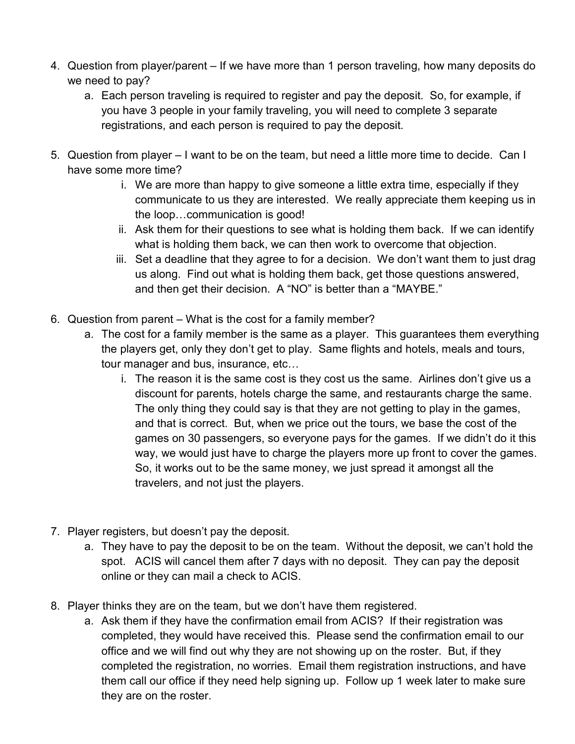- 4. Question from player/parent If we have more than 1 person traveling, how many deposits do we need to pay?
	- a. Each person traveling is required to register and pay the deposit. So, for example, if you have 3 people in your family traveling, you will need to complete 3 separate registrations, and each person is required to pay the deposit.
- 5. Question from player I want to be on the team, but need a little more time to decide. Can I have some more time?
	- i. We are more than happy to give someone a little extra time, especially if they communicate to us they are interested. We really appreciate them keeping us in the loop…communication is good!
	- ii. Ask them for their questions to see what is holding them back. If we can identify what is holding them back, we can then work to overcome that objection.
	- iii. Set a deadline that they agree to for a decision. We don't want them to just drag us along. Find out what is holding them back, get those questions answered, and then get their decision. A "NO" is better than a "MAYBE."
- 6. Question from parent What is the cost for a family member?
	- a. The cost for a family member is the same as a player. This guarantees them everything the players get, only they don't get to play. Same flights and hotels, meals and tours, tour manager and bus, insurance, etc…
		- i. The reason it is the same cost is they cost us the same. Airlines don't give us a discount for parents, hotels charge the same, and restaurants charge the same. The only thing they could say is that they are not getting to play in the games, and that is correct. But, when we price out the tours, we base the cost of the games on 30 passengers, so everyone pays for the games. If we didn't do it this way, we would just have to charge the players more up front to cover the games. So, it works out to be the same money, we just spread it amongst all the travelers, and not just the players.
- 7. Player registers, but doesn't pay the deposit.
	- a. They have to pay the deposit to be on the team. Without the deposit, we can't hold the spot. ACIS will cancel them after 7 days with no deposit. They can pay the deposit online or they can mail a check to ACIS.
- 8. Player thinks they are on the team, but we don't have them registered.
	- a. Ask them if they have the confirmation email from ACIS? If their registration was completed, they would have received this. Please send the confirmation email to our office and we will find out why they are not showing up on the roster. But, if they completed the registration, no worries. Email them registration instructions, and have them call our office if they need help signing up. Follow up 1 week later to make sure they are on the roster.